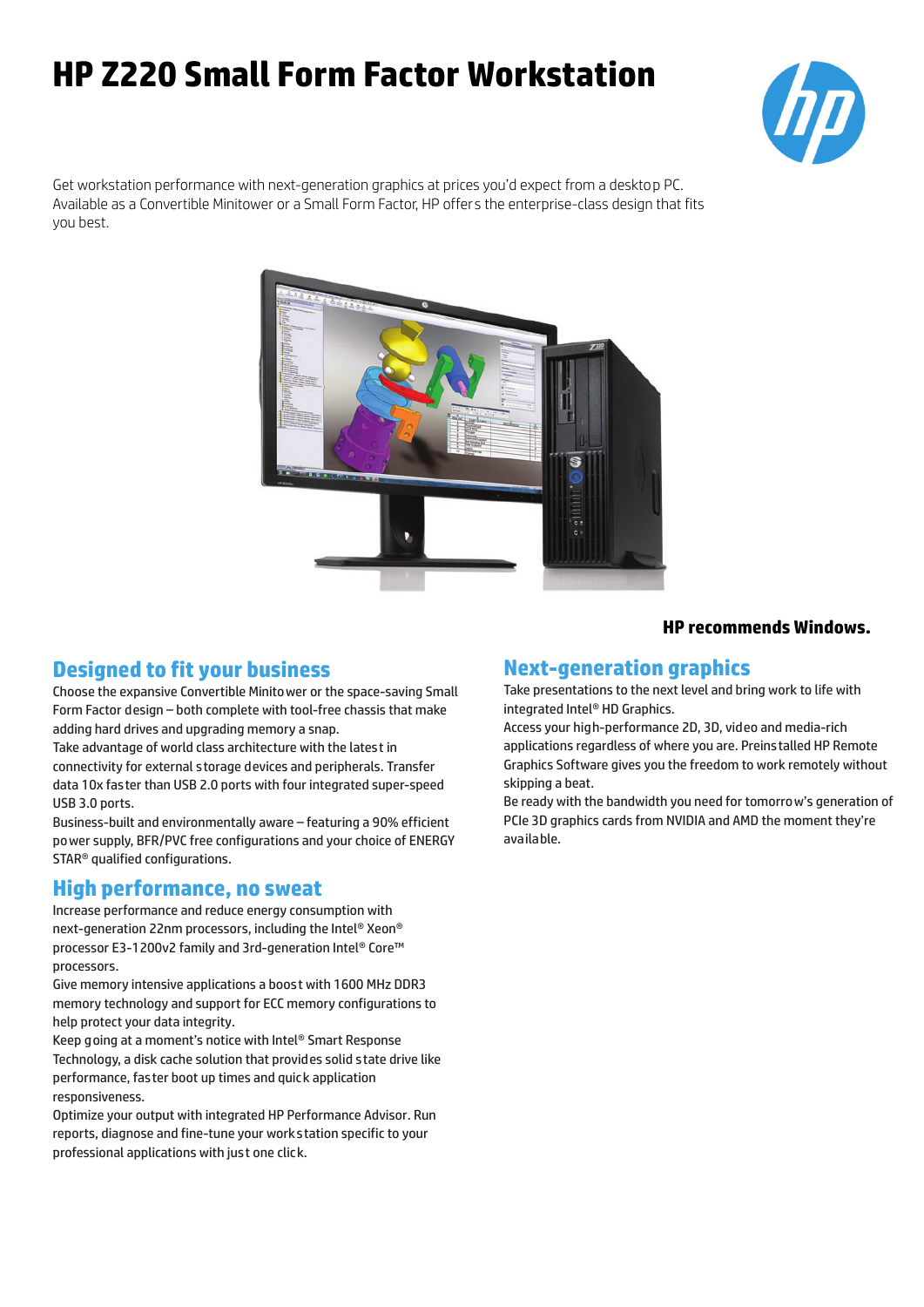# **HP Z220 Small Form Factor Workstation**



Get workstation performance with next-generation graphics at prices you'd expect from a desktop PC. Available as a Convertible Minitower or a Small Form Factor, HP offers the enterprise-class design that fits you best.



### **Designed to fit your business**

Choose the expansive Convertible Minitower or the space-saving Small Form Factor design – both complete with tool-free chassis that make adding hard drives and upgrading memory a snap.

Take advantage of world class architecture with the latest in connectivity for external s torage devices and peripherals. Transfer data 10x fas ter than USB 2.0 ports with four integrated super-speed USB 3.0 ports.

Business-built and environmentally aware – featuring a 90% efficient power supply, BFR/PVC free configurations and your choice of ENERGY STAR® qualified configurations.

#### **High performance, no sweat**

Increase performance and reduce energy consumption with next-generation 22nm processors, including the Intel® Xeon® processor E3-1200v2 family and 3rd-generation Intel® Core™ processors.

Give memory intensive applications a boos t with 1600 MHz DDR3 memory technology and support for ECC memory configurations to help protect your data integrity.

Keep going at a moment's notice with Intel® Smart Response Technology, a disk cache solution that provides solid s tate drive like performance, fas ter boot up times and quick application responsiveness.

Optimize your output with integrated HP Performance Advisor. Run reports, diagnose and fine-tune your works tation specific to your professional applications with just one click.

#### **HP recommends Windows.**

#### **Next-generation graphics**

Take presentations to the next level and bring work to life with integrated Intel® HD Graphics.

Access your high-performance 2D, 3D, video and media-rich applications regardless of where you are. Preins talled HP Remote Graphics Software gives you the freedom to work remotely without skipping a beat.

Be ready with the bandwidth you need for tomorrow's generation of PCIe 3D graphics cards from NVIDIA and AMD the moment they're available.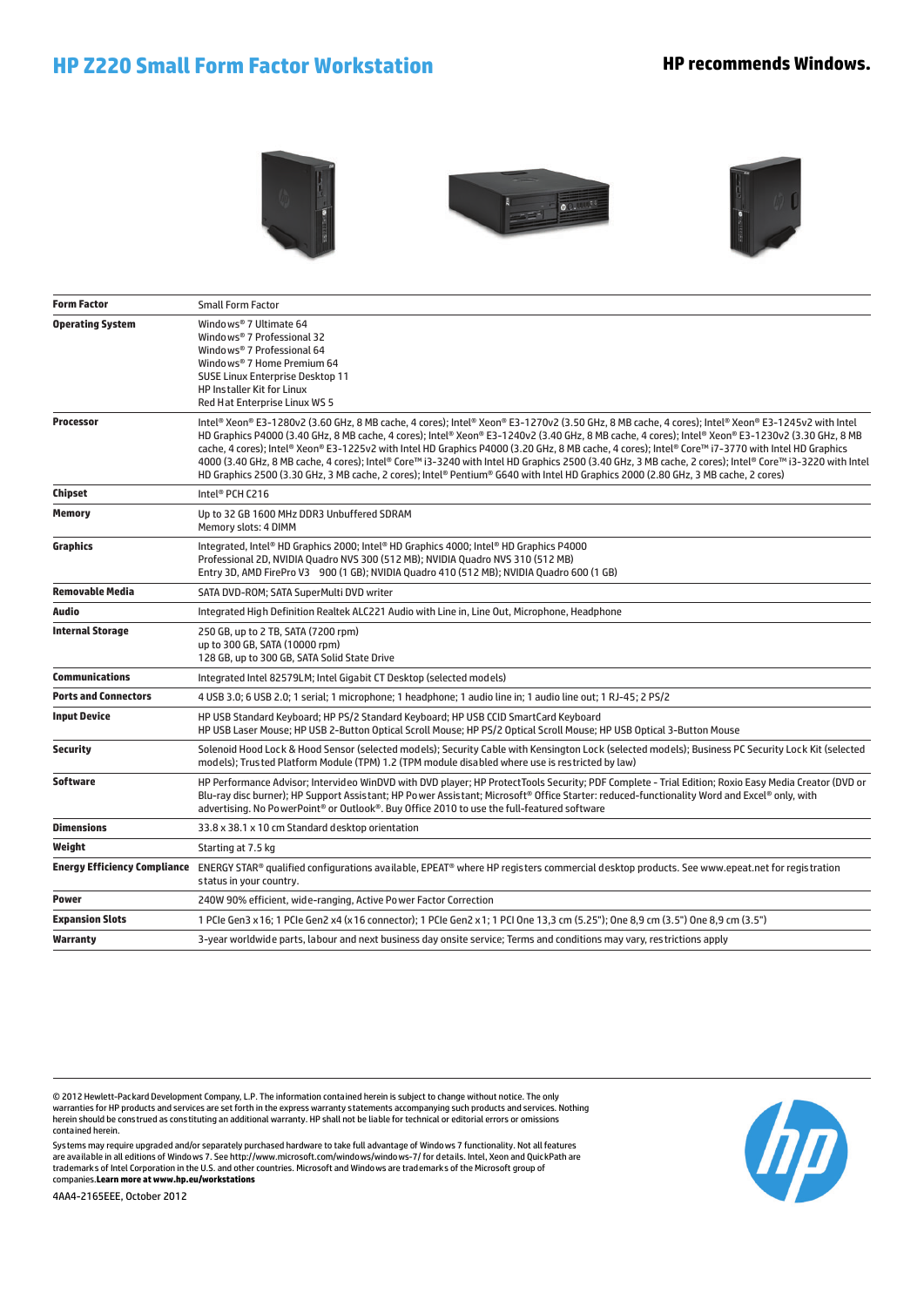## **HP Z220 Small Form Factor Workstation HP recommends Windows.**







| <b>Form Factor</b>          | <b>Small Form Factor</b>                                                                                                                                                                                                                                                                                                                                                                                                                                                                                                                                                                                                                                                                                                                                     |
|-----------------------------|--------------------------------------------------------------------------------------------------------------------------------------------------------------------------------------------------------------------------------------------------------------------------------------------------------------------------------------------------------------------------------------------------------------------------------------------------------------------------------------------------------------------------------------------------------------------------------------------------------------------------------------------------------------------------------------------------------------------------------------------------------------|
| <b>Operating System</b>     | Windo ws® 7 Ultimate 64<br>Windo ws® 7 Professional 32<br>Windo ws® 7 Professional 64<br>Windo ws® 7 Home Premium 64<br>SUSE Linux Enterprise Desktop 11<br>HP Installer Kit for Linux<br>Red Hat Enterprise Linux WS 5                                                                                                                                                                                                                                                                                                                                                                                                                                                                                                                                      |
| <b>Processor</b>            | Intel® Xeon® E3-1280v2 (3.60 GHz, 8 MB cache, 4 cores); Intel® Xeon® E3-1270v2 (3.50 GHz, 8 MB cache, 4 cores); Intel® Xeon® E3-1245v2 with Intel<br>HD Graphics P4000 (3.40 GHz, 8 MB cache, 4 cores); Intel® Xeon® E3-1240v2 (3.40 GHz, 8 MB cache, 4 cores); Intel® Xeon® E3-1230v2 (3.30 GHz, 8 MB<br>cache, 4 cores); Intel® Xeon® E3-1225v2 with Intel HD Graphics P4000 (3.20 GHz, 8 MB cache, 4 cores); Intel® Core™ i7-3770 with Intel HD Graphics<br>4000 (3.40 GHz, 8 MB cache, 4 cores); Intel® Core™ i3-3240 with Intel HD Graphics 2500 (3.40 GHz, 3 MB cache, 2 cores); Intel® Core™ i3-3220 with Intel<br>HD Graphics 2500 (3.30 GHz, 3 MB cache, 2 cores); Intel® Pentium® G640 with Intel HD Graphics 2000 (2.80 GHz, 3 MB cache, 2 cores) |
| Chipset                     | Intel <sup>®</sup> PCH C216                                                                                                                                                                                                                                                                                                                                                                                                                                                                                                                                                                                                                                                                                                                                  |
| <b>Memory</b>               | Up to 32 GB 1600 MHz DDR3 Unbuffered SDRAM<br>Memory slots: 4 DIMM                                                                                                                                                                                                                                                                                                                                                                                                                                                                                                                                                                                                                                                                                           |
| <b>Graphics</b>             | Integrated, Intel® HD Graphics 2000; Intel® HD Graphics 4000; Intel® HD Graphics P4000<br>Professional 2D, NVIDIA Quadro NVS 300 (512 MB); NVIDIA Quadro NVS 310 (512 MB)<br>Entry 3D, AMD FirePro V3 900 (1 GB); NVIDIA Quadro 410 (512 MB); NVIDIA Quadro 600 (1 GB)                                                                                                                                                                                                                                                                                                                                                                                                                                                                                       |
| <b>Removable Media</b>      | SATA DVD-ROM; SATA SuperMulti DVD writer                                                                                                                                                                                                                                                                                                                                                                                                                                                                                                                                                                                                                                                                                                                     |
| Audio                       | Integrated High Definition Realtek ALC221 Audio with Line in, Line Out, Microphone, Headphone                                                                                                                                                                                                                                                                                                                                                                                                                                                                                                                                                                                                                                                                |
| <b>Internal Storage</b>     | 250 GB, up to 2 TB, SATA (7200 rpm)<br>up to 300 GB, SATA (10000 rpm)<br>128 GB, up to 300 GB, SATA Solid State Drive                                                                                                                                                                                                                                                                                                                                                                                                                                                                                                                                                                                                                                        |
| <b>Communications</b>       | Integrated Intel 82579LM; Intel Gigabit CT Desktop (selected models)                                                                                                                                                                                                                                                                                                                                                                                                                                                                                                                                                                                                                                                                                         |
| <b>Ports and Connectors</b> | 4 USB 3.0; 6 USB 2.0; 1 serial; 1 microphone; 1 headphone; 1 audio line in; 1 audio line out; 1 RJ-45; 2 PS/2                                                                                                                                                                                                                                                                                                                                                                                                                                                                                                                                                                                                                                                |
| <b>Input Device</b>         | HP USB Standard Keyboard; HP PS/2 Standard Keyboard; HP USB CCID SmartCard Keyboard<br>HP USB Laser Mouse; HP USB 2-Button Optical Scroll Mouse; HP PS/2 Optical Scroll Mouse; HP USB Optical 3-Button Mouse                                                                                                                                                                                                                                                                                                                                                                                                                                                                                                                                                 |
| <b>Security</b>             | Solenoid Hood Lock & Hood Sensor (selected models); Security Cable with Kensington Lock (selected models); Business PC Security Lock Kit (selected<br>models); Trusted Platform Module (TPM) 1.2 (TPM module disabled where use is restricted by law)                                                                                                                                                                                                                                                                                                                                                                                                                                                                                                        |
| Software                    | HP Performance Advisor; Intervideo WinDVD with DVD player; HP ProtectTools Security; PDF Complete - Trial Edition; Roxio Easy Media Creator (DVD or<br>Blu-ray disc burner); HP Support Assistant; HP Power Assistant; Microsoft® Office Starter: reduced-functionality Word and Excel® only, with<br>advertising. No PowerPoint <sup>®</sup> or Outlook®. Buy Office 2010 to use the full-featured software                                                                                                                                                                                                                                                                                                                                                 |
| <b>Dimensions</b>           | 33.8 x 38.1 x 10 cm Standard desktop orientation                                                                                                                                                                                                                                                                                                                                                                                                                                                                                                                                                                                                                                                                                                             |
| Weight                      | Starting at 7.5 kg                                                                                                                                                                                                                                                                                                                                                                                                                                                                                                                                                                                                                                                                                                                                           |
|                             | Energy Efficiency Compliance ENERGY STAR® qualified configurations available, EPEAT® where HP registers commercial desktop products. See www.epeat.net for registration<br>status in your country.                                                                                                                                                                                                                                                                                                                                                                                                                                                                                                                                                           |
| Power                       | 240W 90% efficient, wide-ranging, Active Power Factor Correction                                                                                                                                                                                                                                                                                                                                                                                                                                                                                                                                                                                                                                                                                             |
| <b>Expansion Slots</b>      | 1 PCIe Gen3 x 16; 1 PCIe Gen2 x4 (x 16 connector); 1 PCIe Gen2 x 1; 1 PCI One 13,3 cm (5.25"); One 8,9 cm (3.5") One 8,9 cm (3.5")                                                                                                                                                                                                                                                                                                                                                                                                                                                                                                                                                                                                                           |
| Warranty                    | 3-year worldwide parts, labour and next business day onsite service; Terms and conditions may vary, restrictions apply                                                                                                                                                                                                                                                                                                                                                                                                                                                                                                                                                                                                                                       |

© 2012 Hewlett-Packard Development Company, L.P. The information contained herein is subject to change without notice. The only<br>warranties for HP products and services are set forth in the express warranty statements accom contained herein.

Sys tems may require upgraded and/or separately purchased hardware to take full advantage of Windows 7 functionality. Not all features are available in all editions of Windows 7. See http://www.microsoft.com/windows/windows-7/ for details. Intel, Xeon and QuickPath are<br>trademarks of Intel Corporation in the U.S. and other countries. Microsoft and Windows companies.**Learn more at www.hp.eu/workstations**



4AA4-2165EEE, October 2012